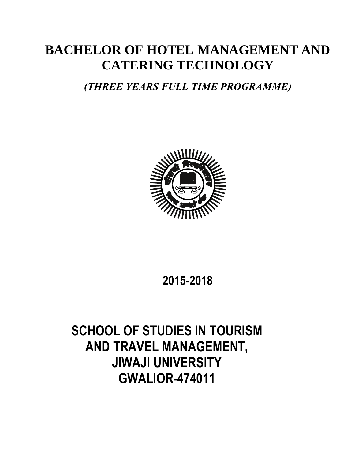# **BACHELOR OF HOTEL MANAGEMENT AND CATERING TECHNOLOGY**

## *(THREE YEARS FULL TIME PROGRAMME)*



# **2015-2018**

# **SCHOOL OF STUDIES IN TOURISM AND TRAVEL MANAGEMENT, JIWAJI UNIVERSITY GWALIOR-474011**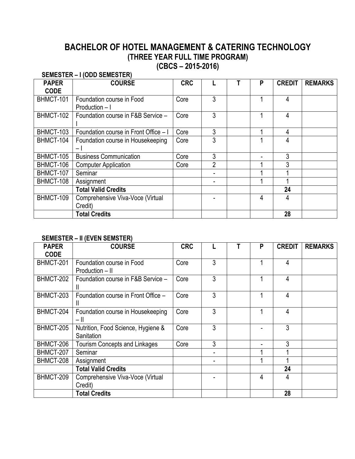## **BACHELOR OF HOTEL MANAGEMENT & CATERING TECHNOLOGY (THREE YEAR FULL TIME PROGRAM) (CBCS – 2015-2016)**

#### **SEMESTER – I (ODD SEMESTER)**

| <b>PAPER</b> | <b>COURSE</b>                               | <b>CRC</b> |                | P | <b>CREDIT</b> | <b>REMARKS</b> |
|--------------|---------------------------------------------|------------|----------------|---|---------------|----------------|
| <b>CODE</b>  |                                             |            |                |   |               |                |
| BHMCT-101    | Foundation course in Food<br>Production - I | Core       | 3              |   | 4             |                |
| BHMCT-102    | Foundation course in F&B Service -          | Core       | 3              |   | 4             |                |
| BHMCT-103    | Foundation course in Front Office - I       | Core       | 3              |   | 4             |                |
| BHMCT-104    | Foundation course in Housekeeping<br>$-1$   | Core       | 3              |   | 4             |                |
| BHMCT-105    | <b>Business Communication</b>               | Core       | 3              |   | 3             |                |
| BHMCT-106    | <b>Computer Application</b>                 | Core       | $\overline{2}$ |   | 3             |                |
| BHMCT-107    | Seminar                                     |            |                |   |               |                |
| BHMCT-108    | Assignment                                  |            |                |   |               |                |
|              | <b>Total Valid Credits</b>                  |            |                |   | 24            |                |
| BHMCT-109    | Comprehensive Viva-Voce (Virtual<br>Credit) |            |                | 4 | 4             |                |
|              | <b>Total Credits</b>                        |            |                |   | 28            |                |

#### **SEMESTER – II (EVEN SEMSTER)**

| <b>PAPER</b><br><b>CODE</b> | <b>COURSE</b>                                    | <b>CRC</b> |   | P | <b>CREDIT</b> | <b>REMARKS</b> |
|-----------------------------|--------------------------------------------------|------------|---|---|---------------|----------------|
| BHMCT-201                   | Foundation course in Food<br>Production – II     | Core       | 3 |   | 4             |                |
| BHMCT-202                   | Foundation course in F&B Service -               | Core       | 3 | 1 | 4             |                |
| BHMCT-203                   | Foundation course in Front Office -              | Core       | 3 | 1 | 4             |                |
| BHMCT-204                   | Foundation course in Housekeeping<br>– II        | Core       | 3 |   | 4             |                |
| BHMCT-205                   | Nutrition, Food Science, Hygiene &<br>Sanitation | Core       | 3 |   | 3             |                |
| BHMCT-206                   | <b>Tourism Concepts and Linkages</b>             | Core       | 3 |   | 3             |                |
| BHMCT-207                   | Seminar                                          |            |   |   |               |                |
| BHMCT-208                   | Assignment                                       |            |   |   |               |                |
|                             | <b>Total Valid Credits</b>                       |            |   |   | 24            |                |
| BHMCT-209                   | Comprehensive Viva-Voce (Virtual<br>Credit)      |            |   | 4 | 4             |                |
|                             | <b>Total Credits</b>                             |            |   |   | 28            |                |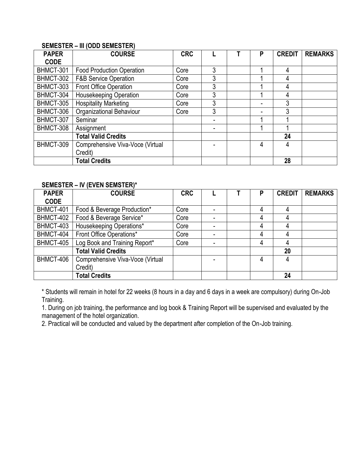#### **SEMESTER – III (ODD SEMESTER)**

| <b>PAPER</b> | <b>COURSE</b>                    | <b>CRC</b> |                | P | <b>CREDIT</b> | <b>REMARKS</b> |
|--------------|----------------------------------|------------|----------------|---|---------------|----------------|
| <b>CODE</b>  |                                  |            |                |   |               |                |
| BHMCT-301    | <b>Food Production Operation</b> | Core       | 3              | и | 4             |                |
| BHMCT-302    | <b>F&amp;B Service Operation</b> | Core       | 3              |   | 4             |                |
| BHMCT-303    | Front Office Operation           | Core       | 3              |   | 4             |                |
| BHMCT-304    | Housekeeping Operation           | Core       | 3              | 4 | 4             |                |
| BHMCT-305    | <b>Hospitality Marketing</b>     | Core       | 3              |   | 3             |                |
| BHMCT-306    | Organizational Behaviour         | Core       | 3              |   | 3             |                |
| BHMCT-307    | Seminar                          |            | $\blacksquare$ |   |               |                |
| BHMCT-308    | Assignment                       |            |                |   |               |                |
|              | <b>Total Valid Credits</b>       |            |                |   | 24            |                |
| BHMCT-309    | Comprehensive Viva-Voce (Virtual |            |                | 4 | 4             |                |
|              | Credit)                          |            |                |   |               |                |
|              | <b>Total Credits</b>             |            |                |   | 28            |                |

#### **SEMESTER – IV (EVEN SEMSTER)\***

| <b>PAPER</b> | <b>COURSE</b>                    | <b>CRC</b> |   | P | <b>CREDIT</b> | <b>REMARKS</b> |
|--------------|----------------------------------|------------|---|---|---------------|----------------|
| <b>CODE</b>  |                                  |            |   |   |               |                |
| BHMCT-401    | Food & Beverage Production*      | Core       |   | 4 | 4             |                |
| BHMCT-402    | Food & Beverage Service*         | Core       |   | 4 | 4             |                |
| BHMCT-403    | Housekeeping Operations*         | Core       | ٠ | 4 | 4             |                |
| BHMCT-404    | Front Office Operations*         | Core       |   | 4 | 4             |                |
| BHMCT-405    | Log Book and Training Report*    | Core       | ٠ | 4 | 4             |                |
|              | <b>Total Valid Credits</b>       |            |   |   | 20            |                |
| BHMCT-406    | Comprehensive Viva-Voce (Virtual |            |   | 4 |               |                |
|              | Credit)                          |            |   |   |               |                |
|              | <b>Total Credits</b>             |            |   |   | 24            |                |

\* Students will remain in hotel for 22 weeks (8 hours in a day and 6 days in a week are compulsory) during On-Job Training.

1. During on job training, the performance and log book & Training Report will be supervised and evaluated by the management of the hotel organization.

2. Practical will be conducted and valued by the department after completion of the On-Job training.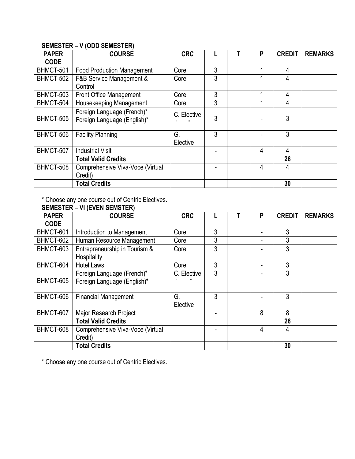## **SEMESTER – V (ODD SEMESTER)**

| <b>PAPER</b> | <b>COURSE</b>                                             | <b>CRC</b>                    |   | P | <b>CREDIT</b> | <b>REMARKS</b> |
|--------------|-----------------------------------------------------------|-------------------------------|---|---|---------------|----------------|
| <b>CODE</b>  |                                                           |                               |   |   |               |                |
| BHMCT-501    | <b>Food Production Management</b>                         | Core                          | 3 | 1 | 4             |                |
| BHMCT-502    | F&B Service Management &                                  | Core                          | 3 |   | 4             |                |
|              | Control                                                   |                               |   |   |               |                |
| BHMCT-503    | Front Office Management                                   | Core                          | 3 |   | 4             |                |
| BHMCT-504    | Housekeeping Management                                   | Core                          | 3 |   | 4             |                |
| BHMCT-505    | Foreign Language (French)*<br>Foreign Language (English)* | C. Elective<br>$\mathfrak{c}$ | 3 |   | 3             |                |
| BHMCT-506    | <b>Facility Planning</b>                                  | G.<br>Elective                | 3 |   | 3             |                |
| BHMCT-507    | <b>Industrial Visit</b>                                   |                               |   | 4 | 4             |                |
|              | <b>Total Valid Credits</b>                                |                               |   |   | 26            |                |
| BHMCT-508    | Comprehensive Viva-Voce (Virtual                          |                               |   | 4 | 4             |                |
|              | Credit)                                                   |                               |   |   |               |                |
|              | <b>Total Credits</b>                                      |                               |   |   | 30            |                |

\* Choose any one course out of Centric Electives.

|              | <b>SEMESTER - VI (EVEN SEMSTER)</b> |             |   |   |               |                |
|--------------|-------------------------------------|-------------|---|---|---------------|----------------|
| <b>PAPER</b> | <b>COURSE</b>                       | <b>CRC</b>  |   | P | <b>CREDIT</b> | <b>REMARKS</b> |
| <b>CODE</b>  |                                     |             |   |   |               |                |
| BHMCT-601    | Introduction to Management          | Core        | 3 |   | 3             |                |
| BHMCT-602    | Human Resource Management           | Core        | 3 |   | 3             |                |
| BHMCT-603    | Entrepreneurship in Tourism &       | Core        | 3 |   | 3             |                |
|              | Hospitality                         |             |   |   |               |                |
| BHMCT-604    | <b>Hotel Laws</b>                   | Core        | 3 |   | 3             |                |
|              | Foreign Language (French)*          | C. Elective | 3 |   | 3             |                |
| BHMCT-605    | Foreign Language (English)*         |             |   |   |               |                |
|              |                                     |             |   |   |               |                |
| BHMCT-606    | <b>Financial Management</b>         | G.          | 3 |   | 3             |                |
|              |                                     | Elective    |   |   |               |                |
| BHMCT-607    | Major Research Project              |             |   | 8 | 8             |                |
|              | <b>Total Valid Credits</b>          |             |   |   | 26            |                |
| BHMCT-608    | Comprehensive Viva-Voce (Virtual    |             |   | 4 | 4             |                |
|              | Credit)                             |             |   |   |               |                |
|              | <b>Total Credits</b>                |             |   |   | 30            |                |

\* Choose any one course out of Centric Electives.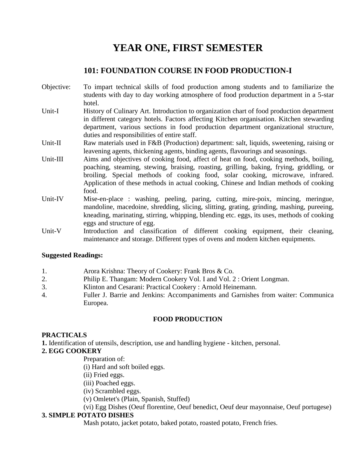## **YEAR ONE, FIRST SEMESTER**

## **101: FOUNDATION COURSE IN FOOD PRODUCTION-I**

- Objective: To impart technical skills of food production among students and to familiarize the students with day to day working atmosphere of food production department in a 5-star hotel.
- Unit-I History of Culinary Art. Introduction to organization chart of food production department in different category hotels. Factors affecting Kitchen organisation. Kitchen stewarding department, various sections in food production department organizational structure, duties and responsibilities of entire staff.
- Unit-II Raw materials used in F&B (Production) department: salt, liquids, sweetening, raising or leavening agents, thickening agents, binding agents, flavourings and seasonings.
- Unit-III Aims and objectives of cooking food, affect of heat on food, cooking methods, boiling, poaching, steaming, stewing, braising, roasting, grilling, baking, frying, griddling, or broiling. Special methods of cooking food, solar cooking, microwave, infrared. Application of these methods in actual cooking, Chinese and Indian methods of cooking food.
- Unit-IV Mise-en-place : washing, peeling, paring, cutting, mire-poix, mincing, meringue, mandoline, macedoine, shredding, slicing, slitting, grating, grinding, mashing, pureeing, kneading, marinating, stirring, whipping, blending etc. eggs, its uses, methods of cooking eggs and structure of egg.
- Unit-V Introduction and classification of different cooking equipment, their cleaning, maintenance and storage. Different types of ovens and modern kitchen equipments.

#### **Suggested Readings:**

- 1. Arora Krishna: Theory of Cookery: Frank Bros & Co.
- 2. Philip E. Thangam: Modern Cookery Vol. I and Vol. 2 : Orient Longman.
- 3. Klinton and Cesarani: Practical Cookery : Arnold Heinemann.
- 4. Fuller J. Barrie and Jenkins: Accompaniments and Garnishes from waiter: Communica Europea.

#### **FOOD PRODUCTION**

#### **PRACTICALS**

**1.** Identification of utensils, description, use and handling hygiene - kitchen, personal.

#### **2. EGG COOKERY**

- Preparation of:
	- (i) Hard and soft boiled eggs.
	- (ii) Fried eggs.
	- (iii) Poached eggs.
	- (iv) Scrambled eggs.
	- (v) Omletet's (Plain, Spanish, Stuffed)
	- (vi) Egg Dishes (Oeuf florentine, Oeuf benedict, Oeuf deur mayonnaise, Oeuf portugese)

#### **3. SIMPLE POTATO DISHES**

Mash potato, jacket potato, baked potato, roasted potato, French fries.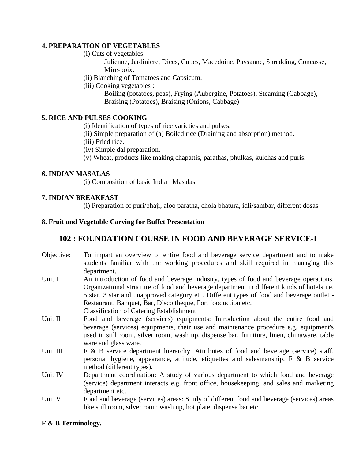#### **4. PREPARATION OF VEGETABLES**

(i) Cuts of vegetables

Julienne, Jardiniere, Dices, Cubes, Macedoine, Paysanne, Shredding, Concasse, Mire-poix.

(ii) Blanching of Tomatoes and Capsicum.

(iii) Cooking vegetables :

Boiling (potatoes, peas), Frying (Aubergine, Potatoes), Steaming (Cabbage), Braising (Potatoes), Braising (Onions, Cabbage)

#### **5. RICE AND PULSES COOKING**

(i) Identification of types of rice varieties and pulses.

(ii) Simple preparation of (a) Boiled rice (Draining and absorption) method.

(iii) Fried rice.

(iv) Simple dal preparation.

(v) Wheat, products like making chapattis, parathas, phulkas, kulchas and puris.

#### **6. INDIAN MASALAS**

(i) Composition of basic Indian Masalas.

#### **7. INDIAN BREAKFAST**

(i) Preparation of puri/bhaji, aloo paratha, chola bhatura, idli/sambar, different dosas.

#### **8. Fruit and Vegetable Carving for Buffet Presentation**

## **102 : FOUNDATION COURSE IN FOOD AND BEVERAGE SERVICE-I**

- Objective: To impart an overview of entire food and beverage service department and to make students familiar with the working procedures and skill required in managing this department.
- Unit I An introduction of food and beverage industry, types of food and beverage operations. Organizational structure of food and beverage department in different kinds of hotels i.e. 5 star, 3 star and unapproved category etc. Different types of food and beverage outlet - Restaurant, Banquet, Bar, Disco theque, Fort fooduction etc. Classification of Catering Establishment
- Unit II Food and beverage (services) equipments: Introduction about the entire food and beverage (services) equipments, their use and maintenance procedure e.g. equipment's used in still room, silver room, wash up, dispense bar, furniture, linen, chinaware, table ware and glass ware.
- Unit III F & B service department hierarchy. Attributes of food and beverage (service) staff, personal hygiene, appearance, attitude, etiquettes and salesmanship. F & B service method (different types).
- Unit IV Department coordination: A study of various department to which food and beverage (service) department interacts e.g. front office, housekeeping, and sales and marketing department etc.
- Unit V Food and beverage (services) areas: Study of different food and beverage (services) areas like still room, silver room wash up, hot plate, dispense bar etc.

#### **F & B Terminology.**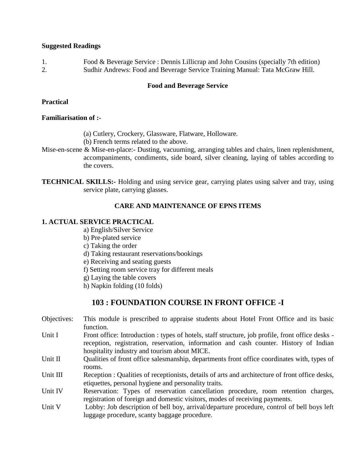#### **Suggested Readings**

1. Food & Beverage Service : Dennis Lillicrap and John Cousins (specially 7th edition) 2. Sudhir Andrews: Food and Beverage Service Training Manual: Tata McGraw Hill.

#### **Food and Beverage Service**

#### **Practical**

#### **Familiarisation of :-**

- (a) Cutlery, Crockery, Glassware, Flatware, Holloware.
- (b) French terms related to the above.
- Mise-en-scene & Mise-en-place:- Dusting, vacuuming, arranging tables and chairs, linen replenishment, accompaniments, condiments, side board, silver cleaning, laying of tables according to the covers.
- **TECHNICAL SKILLS:-** Holding and using service gear, carrying plates using salver and tray, using service plate, carrying glasses.

#### **CARE AND MAINTENANCE OF EPNS ITEMS**

#### **1. ACTUAL SERVICE PRACTICAL**

- a) English/Silver Service
- b) Pre-plated service
- c) Taking the order
- d) Taking restaurant reservations/bookings
- e) Receiving and seating guests
- f) Setting room service tray for different meals
- g) Laying the table covers
- h) Napkin folding (10 folds)

## **103 : FOUNDATION COURSE IN FRONT OFFICE -I**

- Objectives: This module is prescribed to appraise students about Hotel Front Office and its basic function.
- Unit I Front office: Introduction : types of hotels, staff structure, job profile, front office desks reception, registration, reservation, information and cash counter. History of Indian hospitality industry and tourism about MICE.
- Unit II Qualities of front office salesmanship, departments front office coordinates with, types of rooms.
- Unit III Reception : Qualities of receptionists, details of arts and architecture of front office desks, etiquettes, personal hygiene and personality traits.
- Unit IV Reservation: Types of reservation cancellation procedure, room retention charges, registration of foreign and domestic visitors, modes of receiving payments.
- Unit V Lobby: Job description of bell boy, arrival/departure procedure, control of bell boys left luggage procedure, scanty baggage procedure.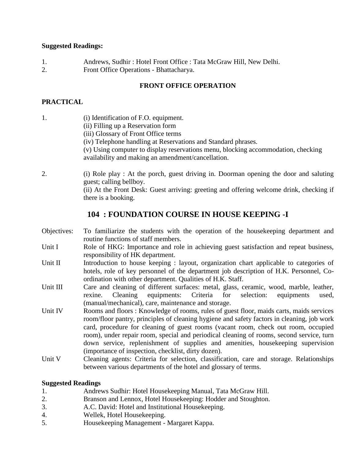#### **Suggested Readings:**

1. Andrews, Sudhir : Hotel Front Office : Tata McGraw Hill, New Delhi. 2. Front Office Operations - Bhattacharya.

#### **FRONT OFFICE OPERATION**

#### **PRACTICAL**

| 1. | (i) Identification of F.O. equipment.<br>(ii) Filling up a Reservation form<br>(iii) Glossary of Front Office terms<br>(iv) Telephone handling at Reservations and Standard phrases.<br>(v) Using computer to display reservations menu, blocking accommodation, checking<br>availability and making an amendment/cancellation. |
|----|---------------------------------------------------------------------------------------------------------------------------------------------------------------------------------------------------------------------------------------------------------------------------------------------------------------------------------|
| 2. | (i) Role play: At the porch, guest driving in. Doorman opening the door and saluting                                                                                                                                                                                                                                            |

guest; calling bellboy. (ii) At the Front Desk: Guest arriving: greeting and offering welcome drink, checking if there is a booking.

## **104 : FOUNDATION COURSE IN HOUSE KEEPING -I**

- Objectives: To familiarize the students with the operation of the housekeeping department and routine functions of staff members.
- Unit I Role of HKG: Importance and role in achieving guest satisfaction and repeat business, responsibility of HK department.
- Unit II Introduction to house keeping : layout, organization chart applicable to categories of hotels, role of key personnel of the department job description of H.K. Personnel, Coordination with other department. Qualities of H.K. Staff.
- Unit III Care and cleaning of different surfaces: metal, glass, ceramic, wood, marble, leather, rexine. Cleaning equipments: Criteria for selection: equipments used, (manual/mechanical), care, maintenance and storage.
- Unit IV Rooms and floors : Knowledge of rooms, rules of guest floor, maids carts, maids services room/floor pantry, principles of cleaning hygiene and safety factors in cleaning, job work card, procedure for cleaning of guest rooms (vacant room, check out room, occupied room), under repair room, special and periodical cleaning of rooms, second service, turn down service, replenishment of supplies and amenities, housekeeping supervision (importance of inspection, checklist, dirty dozen).
- Unit V Cleaning agents: Criteria for selection, classification, care and storage. Relationships between various departments of the hotel and glossary of terms.

#### **Suggested Readings**

- 1. Andrews Sudhir: Hotel Housekeeping Manual, Tata McGraw Hill.
- 2. Branson and Lennox, Hotel Housekeeping: Hodder and Stoughton.
- 3. A.C. David: Hotel and Institutional Housekeeping.
- 4. Wellek, Hotel Housekeeping.
- 5. Housekeeping Management Margaret Kappa.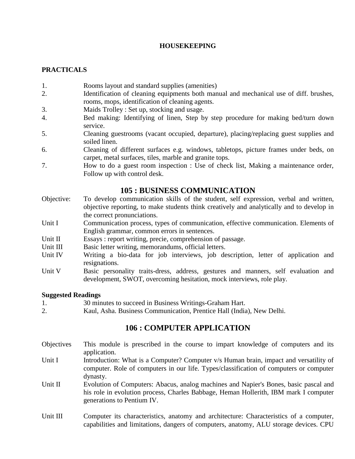#### **HOUSEKEEPING**

#### **PRACTICALS**

- 1. Rooms layout and standard supplies (amenities)
- 2. Identification of cleaning equipments both manual and mechanical use of diff. brushes, rooms, mops, identification of cleaning agents.
- 3. Maids Trolley : Set up, stocking and usage.
- 4. Bed making: Identifying of linen, Step by step procedure for making bed/turn down service.
- 5. Cleaning guestrooms (vacant occupied, departure), placing/replacing guest supplies and soiled linen.
- 6. Cleaning of different surfaces e.g. windows, tabletops, picture frames under beds, on carpet, metal surfaces, tiles, marble and granite tops.
- 7. How to do a guest room inspection : Use of check list, Making a maintenance order, Follow up with control desk.

## **105 : BUSINESS COMMUNICATION**

- Objective: To develop communication skills of the student, self expression, verbal and written, objective reporting, to make students think creatively and analytically and to develop in the correct pronunciations.
- Unit I Communication process, types of communication, effective communication. Elements of English grammar, common errors in sentences.
- Unit II Essays : report writing, precie, comprehension of passage.
- Unit III Basic letter writing, memorandums, official letters.
- Unit IV Writing a bio-data for job interviews, job description, letter of application and resignations.
- Unit V Basic personality traits-dress, address, gestures and manners, self evaluation and development, SWOT, overcoming hesitation, mock interviews, role play.

#### **Suggested Readings**

- 1. 30 minutes to succeed in Business Writings-Graham Hart.
- 2. Kaul, Asha. Business Communication, Prentice Hall (India), New Delhi.

## **106 : COMPUTER APPLICATION**

- Objectives This module is prescribed in the course to impart knowledge of computers and its application.
- Unit I Introduction: What is a Computer? Computer v/s Human brain, impact and versatility of computer. Role of computers in our life. Types/classification of computers or computer dynasty.
- Unit II Evolution of Computers: Abacus, analog machines and Napier's Bones, basic pascal and his role in evolution process, Charles Babbage, Heman Hollerith, IBM mark I computer generations to Pentium IV.
- Unit III Computer its characteristics, anatomy and architecture: Characteristics of a computer, capabilities and limitations, dangers of computers, anatomy, ALU storage devices. CPU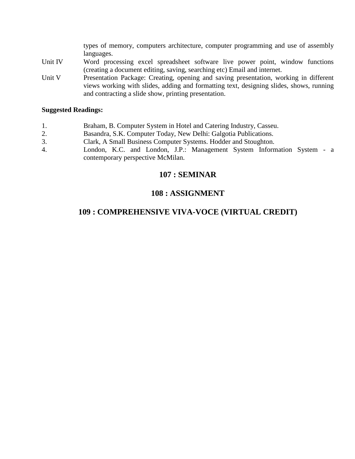types of memory, computers architecture, computer programming and use of assembly languages.

- Unit IV Word processing excel spreadsheet software live power point, window functions (creating a document editing, saving, searching etc) Email and internet.
- Unit V Presentation Package: Creating, opening and saving presentation, working in different views working with slides, adding and formatting text, designing slides, shows, running and contracting a slide show, printing presentation.

#### **Suggested Readings:**

- 1. Braham, B. Computer System in Hotel and Catering Industry, Casseu.
- 2. Basandra, S.K. Computer Today, New Delhi: Galgotia Publications.
- 3. Clark, A Small Business Computer Systems. Hodder and Stoughton.
- 4. London, K.C. and London, J.P.: Management System Information System a contemporary perspective McMilan.

## **107 : SEMINAR**

## **108 : ASSIGNMENT**

## **109 : COMPREHENSIVE VIVA-VOCE (VIRTUAL CREDIT)**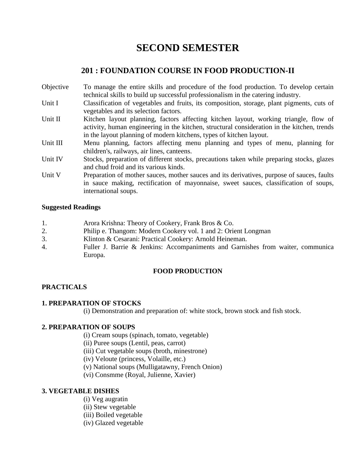## **SECOND SEMESTER**

## **201 : FOUNDATION COURSE IN FOOD PRODUCTION-II**

- Objective To manage the entire skills and procedure of the food production. To develop certain technical skills to build up successful professionalism in the catering industry.
- Unit I Classification of vegetables and fruits, its composition, storage, plant pigments, cuts of vegetables and its selection factors.
- Unit II Kitchen layout planning, factors affecting kitchen layout, working triangle, flow of activity, human engineering in the kitchen, structural consideration in the kitchen, trends in the layout planning of modern kitchens, types of kitchen layout.
- Unit III Menu planning, factors affecting menu planning and types of menu, planning for children's, railways, air lines, canteens.
- Unit IV Stocks, preparation of different stocks, precautions taken while preparing stocks, glazes and chud froid and its various kinds.
- Unit V Preparation of mother sauces, mother sauces and its derivatives, purpose of sauces, faults in sauce making, rectification of mayonnaise, sweet sauces, classification of soups, international soups.

#### **Suggested Readings**

- 1. Arora Krishna: Theory of Cookery, Frank Bros & Co.
- 2. Philip e. Thangom: Modern Cookery vol. 1 and 2: Orient Longman
- 3. Klinton & Cesarani: Practical Cookery: Arnold Heineman.
- 4. Fuller J. Barrie & Jenkins: Accompaniments and Garnishes from waiter, communica Europa.

#### **FOOD PRODUCTION**

#### **PRACTICALS**

#### **1. PREPARATION OF STOCKS**

(i) Demonstration and preparation of: white stock, brown stock and fish stock.

#### **2. PREPARATION OF SOUPS**

- (i) Cream soups (spinach, tomato, vegetable)
- (ii) Puree soups (Lentil, peas, carrot)
- (iii) Cut vegetable soups (broth, minestrone)
- (iv) Veloute (princess, Volaille, etc.)
- (v) National soups (Mulligatawny, French Onion)
- (vi) Consmme (Royal, Julienne, Xavier)

#### **3. VEGETABLE DISHES**

- (i) Veg augratin
- (ii) Stew vegetable
- (iii) Boiled vegetable
- (iv) Glazed vegetable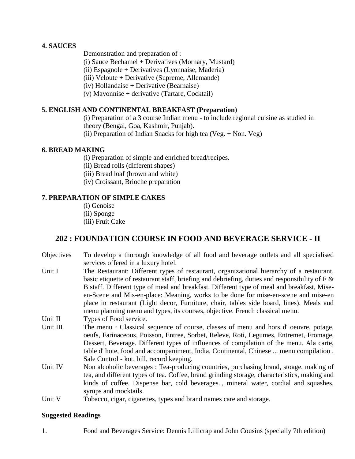#### **4. SAUCES**

Demonstration and preparation of :

(i) Sauce Bechamel + Derivatives (Mornary, Mustard)

(ii) Espagnole + Derivatives (Lyonnaise, Maderia)

(iii) Veloute + Derivative (Supreme, Allemande)

(iv) Hollandaise + Derivative (Bearnaise)

(v) Mayonnise + derivative (Tartare, Cocktail)

#### **5. ENGLISH AND CONTINENTAL BREAKFAST (Preparation)**

(i) Preparation of a 3 course Indian menu - to include regional cuisine as studied in theory (Bengal, Goa, Kashmir, Punjab).

(ii) Preparation of Indian Snacks for high tea (Veg. + Non. Veg)

#### **6. BREAD MAKING**

(i) Preparation of simple and enriched bread/recipes.

(ii) Bread rolls (different shapes)

(iii) Bread loaf (brown and white)

(iv) Croissant, Brioche preparation

#### **7. PREPARATION OF SIMPLE CAKES**

(i) Genoise (ii) Sponge (iii) Fruit Cake

## **202 : FOUNDATION COURSE IN FOOD AND BEVERAGE SERVICE - II**

- Objectives To develop a thorough knowledge of all food and beverage outlets and all specialised services offered in a luxury hotel.
- Unit I The Restaurant: Different types of restaurant, organizational hierarchy of a restaurant, basic etiquette of restaurant staff, briefing and debriefing, duties and responsibility of F & B staff. Different type of meal and breakfast. Different type of meal and breakfast, Miseen-Scene and Mis-en-place: Meaning, works to be done for mise-en-scene and mise-en place in restaurant (Light decor, Furniture, chair, tables side board, lines). Meals and menu planning menu and types, its courses, objective. French classical menu.

Unit II Types of Food service.

- Unit III The menu : Classical sequence of course, classes of menu and hors d'oeuvre, potage, oeufs, Farinaceous, Poisson, Entree, Sorbet, Releve, Roti, Legumes, Entremet, Fromage, Dessert, Beverage. Different types of influences of compilation of the menu. Ala carte, table d' hote, food and accompaniment, India, Continental, Chinese ... menu compilation . Sale Control - kot, bill, record keeping.
- Unit IV Non alcoholic beverages : Tea-producing countries, purchasing brand, stoage, making of tea, and different types of tea. Coffee, brand grinding storage, characteristics, making and kinds of coffee. Dispense bar, cold beverages.., mineral water, cordial and squashes, syrups and mocktails.
- Unit V Tobacco, cigar, cigarettes, types and brand names care and storage.

#### **Suggested Readings**

1. Food and Beverages Service: Dennis Lillicrap and John Cousins (specially 7th edition)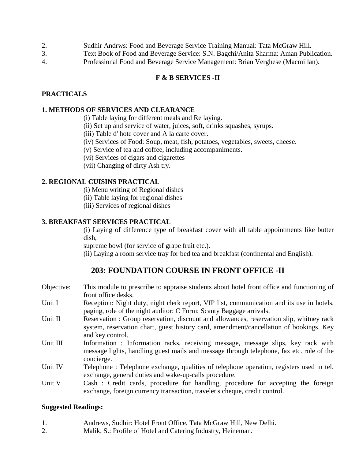- 2. Sudhir Andrws: Food and Beverage Service Training Manual: Tata McGraw Hill.
- 3. Text Book of Food and Beverage Service: S.N. Bagchi/Anita Sharma: Aman Publication.
- 4. Professional Food and Beverage Service Management: Brian Verghese (Macmillan).

#### **F & B SERVICES -II**

#### **PRACTICALS**

#### **1. METHODS OF SERVICES AND CLEARANCE**

(i) Table laying for different meals and Re laying.

- (ii) Set up and service of water, juices, soft, drinks squashes, syrups.
- (iii) Table d' hote cover and A la carte cover.
- (iv) Services of Food: Soup, meat, fish, potatoes, vegetables, sweets, cheese.
- (v) Service of tea and coffee, including accompaniments.
- (vi) Services of cigars and cigarettes
- (vii) Changing of dirty Ash try.

#### **2. REGIONAL CUISINS PRACTICAL**

- (i) Menu writing of Regional dishes
- (ii) Table laying for regional dishes
- (iii) Services of regional dishes

#### **3. BREAKFAST SERVICES PRACTICAL**

(i) Laying of difference type of breakfast cover with all table appointments like butter dish,

supreme bowl (for service of grape fruit etc.).

(ii) Laying a room service tray for bed tea and breakfast (continental and English).

## **203: FOUNDATION COURSE IN FRONT OFFICE -II**

- Objective: This module to prescribe to appraise students about hotel front office and functioning of front office desks.
- Unit I Reception: Night duty, night clerk report, VIP list, communication and its use in hotels, paging, role of the night auditor: C Form; Scanty Baggage arrivals.
- Unit II Reservation : Group reservation, discount and allowances, reservation slip, whitney rack system, reservation chart, guest history card, amendment/cancellation of bookings. Key and key control.
- Unit III Information : Information racks, receiving message, message slips, key rack with message lights, handling guest mails and message through telephone, fax etc. role of the concierge.
- Unit IV Telephone : Telephone exchange, qualities of telephone operation, registers used in tel. exchange, general duties and wake-up-calls procedure.
- Unit V Cash : Credit cards, procedure for handling, procedure for accepting the foreign exchange, foreign currency transaction, traveler's cheque, credit control.

#### **Suggested Readings:**

- 1. Andrews, Sudhir: Hotel Front Office, Tata McGraw Hill, New Delhi.
- 2. Malik, S.: Profile of Hotel and Catering Industry, Heineman.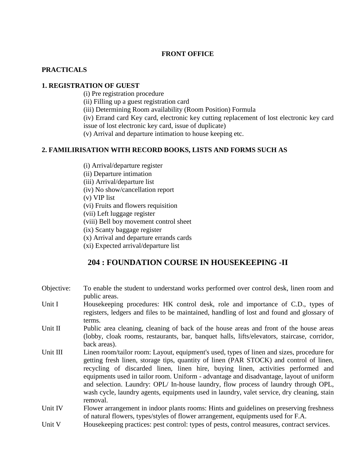#### **FRONT OFFICE**

#### **PRACTICALS**

#### **1. REGISTRATION OF GUEST**

(i) Pre registration procedure

(ii) Filling up a guest registration card

(iii) Determining Room availability (Room Position) Formula

(iv) Errand card Key card, electronic key cutting replacement of lost electronic key card issue of lost electronic key card, issue of duplicate)

(v) Arrival and departure intimation to house keeping etc.

#### **2. FAMILIRISATION WITH RECORD BOOKS, LISTS AND FORMS SUCH AS**

- (i) Arrival/departure register
- (ii) Departure intimation

(iii) Arrival/departure list

(iv) No show/cancellation report

(v) VIP list

(vi) Fruits and flowers requisition

(vii) Left luggage register

(viii) Bell boy movement control sheet

(ix) Scanty baggage register

(x) Arrival and departure errands cards

(xi) Expected arrival/departure list

## **204 : FOUNDATION COURSE IN HOUSEKEEPING -II**

- Objective: To enable the student to understand works performed over control desk, linen room and public areas.
- Unit I House keeping procedures: HK control desk, role and importance of C.D., types of registers, ledgers and files to be maintained, handling of lost and found and glossary of terms.
- Unit II Public area cleaning, cleaning of back of the house areas and front of the house areas (lobby, cloak rooms, restaurants, bar, banquet halls, lifts/elevators, staircase, corridor, back areas).
- Unit III Linen room/tailor room: Layout, equipment's used, types of linen and sizes, procedure for getting fresh linen, storage tips, quantity of linen (PAR STOCK) and control of linen, recycling of discarded linen, linen hire, buying linen, activities performed and equipments used in tailor room. Uniform - advantage and disadvantage, layout of uniform and selection. Laundry: OPL/ In-house laundry, flow process of laundry through OPL, wash cycle, laundry agents, equipments used in laundry, valet service, dry cleaning, stain removal.
- Unit IV Flower arrangement in indoor plants rooms: Hints and guidelines on preserving freshness of natural flowers, types/styles of flower arrangement, equipments used for F.A.

Unit V House keeping practices: pest control: types of pests, control measures, contract services.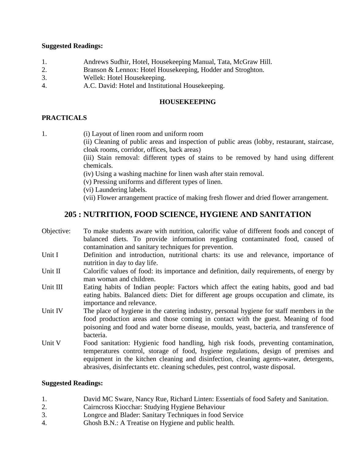#### **Suggested Readings:**

- 1. Andrews Sudhir, Hotel, Housekeeping Manual, Tata, McGraw Hill.
- 2. Branson & Lennox: Hotel Housekeeping, Hodder and Stroghton.
- 3. Wellek: Hotel Housekeeping.
- 4. A.C. David: Hotel and Institutional Housekeeping.

#### **HOUSEKEEPING**

#### **PRACTICALS**

- 1. (i) Layout of linen room and uniform room
	- (ii) Cleaning of public areas and inspection of public areas (lobby, restaurant, staircase, cloak rooms, corridor, offices, back areas)

(iii) Stain removal: different types of stains to be removed by hand using different chemicals.

- (iv) Using a washing machine for linen wash after stain removal.
- (v) Pressing uniforms and different types of linen.
- (vi) Laundering labels.
- (vii) Flower arrangement practice of making fresh flower and dried flower arrangement.

## **205 : NUTRITION, FOOD SCIENCE, HYGIENE AND SANITATION**

- Objective: To make students aware with nutrition, calorific value of different foods and concept of balanced diets. To provide information regarding contaminated food, caused of contamination and sanitary techniques for prevention.
- Unit I Definition and introduction, nutritional charts: its use and relevance, importance of nutrition in day to day life.
- Unit II Calorific values of food: its importance and definition, daily requirements, of energy by man woman and children.
- Unit III Eating habits of Indian people: Factors which affect the eating habits, good and bad eating habits. Balanced diets: Diet for different age groups occupation and climate, its importance and relevance.
- Unit IV The place of hygiene in the catering industry, personal hygiene for staff members in the food production areas and those coming in contact with the guest. Meaning of food poisoning and food and water borne disease, moulds, yeast, bacteria, and transference of bacteria.
- Unit V Food sanitation: Hygienic food handling, high risk foods, preventing contamination, temperatures control, storage of food, hygiene regulations, design of premises and equipment in the kitchen cleaning and disinfection, cleaning agents-water, detergents, abrasives, disinfectants etc. cleaning schedules, pest control, waste disposal.

#### **Suggested Readings:**

- 1. David MC Sware, Nancy Rue, Richard Linten: Essentials of food Safety and Sanitation.
- 2. Cairncross Kiocchar: Studying Hygiene Behaviour
- 3. Longrce and Blader: Sanitary Techniques in food Service
- 4. Ghosh B.N.: A Treatise on Hygiene and public health.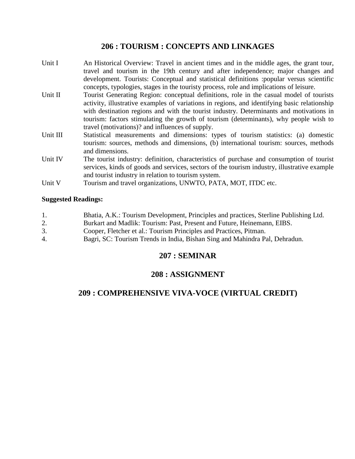## **206 : TOURISM : CONCEPTS AND LINKAGES**

- Unit I An Historical Overview: Travel in ancient times and in the middle ages, the grant tour, travel and tourism in the 19th century and after independence; major changes and development. Tourists: Conceptual and statistical definitions :popular versus scientific concepts, typologies, stages in the touristy process, role and implications of leisure.
- Unit II Tourist Generating Region: conceptual definitions, role in the casual model of tourists activity, illustrative examples of variations in regions, and identifying basic relationship with destination regions and with the tourist industry. Determinants and motivations in tourism: factors stimulating the growth of tourism (determinants), why people wish to travel (motivations)? and influences of supply.
- Unit III Statistical measurements and dimensions: types of tourism statistics: (a) domestic tourism: sources, methods and dimensions, (b) international tourism: sources, methods and dimensions.
- Unit IV The tourist industry: definition, characteristics of purchase and consumption of tourist services, kinds of goods and services, sectors of the tourism industry, illustrative example and tourist industry in relation to tourism system.
- Unit V Tourism and travel organizations, UNWTO, PATA, MOT, ITDC etc.

#### **Suggested Readings:**

- 1. Bhatia, A.K.: Tourism Development, Principles and practices, Sterline Publishing Ltd.
- 2. Burkart and Madlik: Tourism: Past, Present and Future, Heinemann, EIBS.
- 3. Cooper, Fletcher et al.: Tourism Principles and Practices, Pitman.
- 4. Bagri, SC: Tourism Trends in India, Bishan Sing and Mahindra Pal, Dehradun.

## **207 : SEMINAR**

## **208 : ASSIGNMENT**

## **209 : COMPREHENSIVE VIVA-VOCE (VIRTUAL CREDIT)**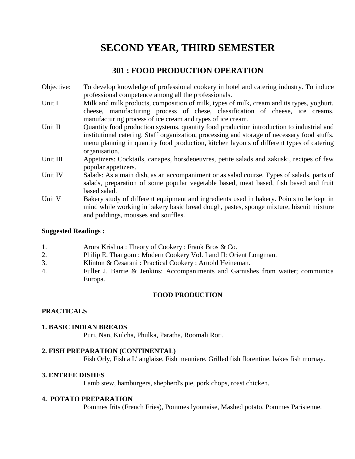## **SECOND YEAR, THIRD SEMESTER**

## **301 : FOOD PRODUCTION OPERATION**

- Objective: To develop knowledge of professional cookery in hotel and catering industry. To induce professional competence among all the professionals.
- Unit I Milk and milk products, composition of milk, types of milk, cream and its types, yoghurt, cheese, manufacturing process of chese, classification of cheese, ice creams, manufacturing process of ice cream and types of ice cream.
- Unit II Quantity food production systems, quantity food production introduction to industrial and institutional catering. Staff organization, processing and storage of necessary food stuffs, menu planning in quantity food production, kitchen layouts of different types of catering organisation.
- Unit III Appetizers: Cocktails, canapes, horsdeoeuvres, petite salads and zakuski, recipes of few popular appetizers.
- Unit IV Salads: As a main dish, as an accompaniment or as salad course. Types of salads, parts of salads, preparation of some popular vegetable based, meat based, fish based and fruit based salad.
- Unit V Bakery study of different equipment and ingredients used in bakery. Points to be kept in mind while working in bakery basic bread dough, pastes, sponge mixture, biscuit mixture and puddings, mousses and souffles.

#### **Suggested Readings :**

- 1. Arora Krishna : Theory of Cookery : Frank Bros & Co.
- 2. Philip E. Thangom : Modern Cookery Vol. I and II: Orient Longman.
- 3. Klinton & Cesarani : Practical Cookery : Arnold Heineman.
- 4. Fuller J. Barrie & Jenkins: Accompaniments and Garnishes from waiter; communica Europa.

#### **FOOD PRODUCTION**

#### **PRACTICALS**

#### **1. BASIC INDIAN BREADS**

Puri, Nan, Kulcha, Phulka, Paratha, Roomali Roti.

#### **2. FISH PREPARATION (CONTINENTAL)**

Fish Orly, Fish a L' anglaise, Fish meuniere, Grilled fish florentine, bakes fish mornay.

#### **3. ENTREE DISHES**

Lamb stew, hamburgers, shepherd's pie, pork chops, roast chicken.

#### **4. POTATO PREPARATION**

Pommes frits (French Fries), Pommes lyonnaise, Mashed potato, Pommes Parisienne.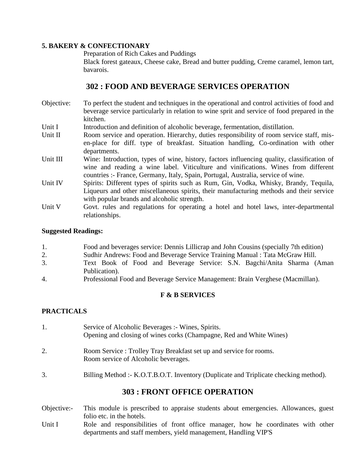#### **5. BAKERY & CONFECTIONARY**

Preparation of Rich Cakes and Puddings

Black forest gateaux, Cheese cake, Bread and butter pudding, Creme caramel, lemon tart, bavarois.

## **302 : FOOD AND BEVERAGE SERVICES OPERATION**

- Objective: To perfect the student and techniques in the operational and control activities of food and beverage service particularly in relation to wine sprit and service of food prepared in the kitchen.
- Unit I Introduction and definition of alcoholic beverage, fermentation, distillation.
- Unit II Room service and operation. Hierarchy, duties responsibility of room service staff, misen-place for diff. type of breakfast. Situation handling, Co-ordination with other departments.
- Unit III Wine: Introduction, types of wine, history, factors influencing quality, classification of wine and reading a wine label. Viticulture and vinifications. Wines from different countries :- France, Germany, Italy, Spain, Portugal, Australia, service of wine.
- Unit IV Spirits: Different types of spirits such as Rum, Gin, Vodka, Whisky, Brandy, Tequila, Liqueurs and other miscellaneous spirits, their manufacturing methods and their service with popular brands and alcoholic strength.
- Unit V Govt. rules and regulations for operating a hotel and hotel laws, inter-departmental relationships.

#### **Suggested Readings:**

- 1. Food and beverages service: Dennis Lillicrap and John Cousins (specially 7th edition)
- 2. Sudhir Andrews: Food and Beverage Service Training Manual : Tata McGraw Hill.
- 3. Text Book of Food and Beverage Service: S.N. Bagchi/Anita Sharma (Aman Publication).
- 4. Professional Food and Beverage Service Management: Brain Verghese (Macmillan).

#### **F & B SERVICES**

#### **PRACTICALS**

- 1. Service of Alcoholic Beverages :- Wines, Spirits. Opening and closing of wines corks (Champagne, Red and White Wines) 2. Room Service : Trolley Tray Breakfast set up and service for rooms. Room service of Alcoholic beverages. 3. Billing Method :- K.O.T.B.O.T. Inventory (Duplicate and Triplicate checking method). **303 : FRONT OFFICE OPERATION**
- Objective:- This module is prescribed to appraise students about emergencies. Allowances, guest folio etc. in the hotels.
- Unit I also Role and responsibilities of front office manager, how he coordinates with other departments and staff members, yield management, Handling VIP'S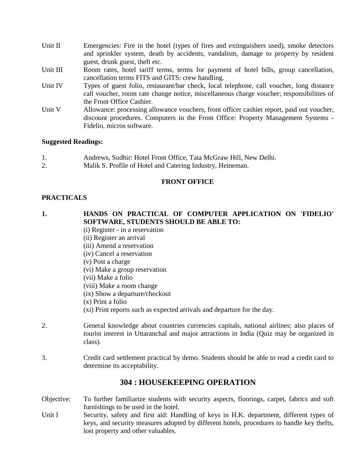- Unit II Emergencies: Fire in the hotel (types of fires and extinguishers used), smoke detectors and sprinkler system, death by accidents, vandalism, damage to property by resident guest, drunk guest, theft etc.
- Unit III Room rates, hotel tariff terms, terms for payment of hotel bills, group cancellation, cancellation terms FITS and GITS: crew handling.
- Unit IV Types of guest folio, restaurant/bar check, local telephone, call voucher, long distance call voucher, room rate change notice, miscellaneous charge voucher; responsibilities of the Front Office Cashier.
- Unit V Allowance: processing allowance vouchers, front officer cashier report, paid out voucher, discount procedures. Computers in the Front Office: Property Management Systems - Fidelio, micros software.

#### **Suggested Readings:**

- 1. Andrews, Sudhir: Hotel Front Office, Tata McGraw Hill, New Delhi.
- 2. Malik S. Profile of Hotel and Catering Industry, Heineman.

#### **FRONT OFFICE**

#### **PRACTICALS**

## **1. HANDS ON PRACTICAL OF COMPUTER APPLICATION ON 'FIDELIO' SOFTWARE, STUDENTS SHOULD BE ABLE TO:**

- (i) Register in a reservation
- (ii) Register an arrival
- (iii) Amend a reservation
- (iv) Cancel a reservation
- (v) Post a charge
- (vi) Make a group reservation
- (vii) Make a folio
- (viii) Make a room change
- (ix) Show a departure/checkout
- (x) Print a folio
- (xi) Print reports such as expected arrivals and departure for the day.
- 2. General knowledge about countries currencies capitals, national airlines; also places of tourist interest in Uttaranchal and major attractions in India (Quiz may be organized in class).
- 3. Credit card settlement practical by demo. Students should be able to read a credit card to determine its acceptability.

## **304 : HOUSEKEEPING OPERATION**

- Objective: To further familiarize students with security aspects, floorings, carpet, fabrics and soft furnishings to be used in the hotel.
- Unit I Security, safety and first aid: Handling of keys in H.K. department, different types of keys, and security measures adopted by different hotels, procedures to handle key thefts, lost property and other valuables.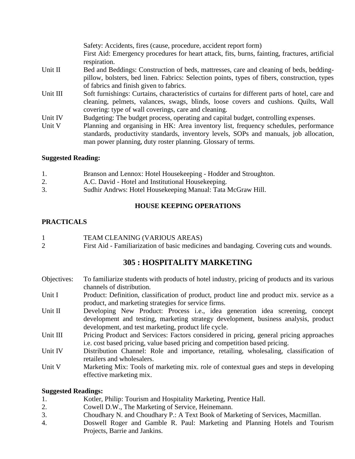|          | Safety: Accidents, fires (cause, procedure, accident report form)<br>First Aid: Emergency procedures for heart attack, fits, burns, fainting, fractures, artificial<br>respiration.                                                            |
|----------|------------------------------------------------------------------------------------------------------------------------------------------------------------------------------------------------------------------------------------------------|
| Unit II  | Bed and Beddings: Construction of beds, mattresses, care and cleaning of beds, bedding-<br>pillow, bolsters, bed linen. Fabrics: Selection points, types of fibers, construction, types<br>of fabrics and finish given to fabrics.             |
| Unit III | Soft furnishings: Curtains, characteristics of curtains for different parts of hotel, care and<br>cleaning, pelmets, valances, swags, blinds, loose covers and cushions. Quilts, Wall<br>covering: type of wall coverings, care and cleaning.  |
| Unit IV  | Budgeting: The budget process, operating and capital budget, controlling expenses.                                                                                                                                                             |
| Unit V   | Planning and organising in HK: Area inventory list, frequency schedules, performance<br>standards, productivity standards, inventory levels, SOPs and manuals, job allocation,<br>man power planning, duty roster planning. Glossary of terms. |

#### **Suggested Reading:**

|    | Branson and Lennox: Hotel Housekeeping - Hodder and Stroughton. |
|----|-----------------------------------------------------------------|
| 2. | A.C. David - Hotel and Institutional Housekeeping.              |
| 3. | Sudhir Andrws: Hotel Housekeeping Manual: Tata McGraw Hill.     |

#### **HOUSE KEEPING OPERATIONS**

## **PRACTICALS**

| TEAM CLEANING (VARIOUS AREAS)                                                           |
|-----------------------------------------------------------------------------------------|
| First Aid - Familiarization of basic medicines and bandaging. Covering cuts and wounds. |

## **305 : HOSPITALITY MARKETING**

- Objectives: To familiarize students with products of hotel industry, pricing of products and its various channels of distribution.
- Unit I Product: Definition, classification of product, product line and product mix. service as a product, and marketing strategies for service firms.
- Unit II Developing New Product: Process i.e., idea generation idea screening, concept development and testing, marketing strategy development, business analysis, product development, and test marketing, product life cycle.
- Unit III Pricing Product and Services: Factors considered in pricing, general pricing approaches i.e. cost based pricing, value based pricing and competition based pricing.
- Unit IV Distribution Channel: Role and importance, retailing, wholesaling, classification of retailers and wholesalers.
- Unit V Marketing Mix: Tools of marketing mix. role of contextual gues and steps in developing effective marketing mix.

#### **Suggested Readings:**

- 1. Kotler, Philip: Tourism and Hospitality Marketing, Prentice Hall.
- 2. Cowell D.W., The Marketing of Service, Heinemann.
- 3. Choudhary N. and Choudhary P.: A Text Book of Marketing of Services, Macmillan.
- 4. Doswell Roger and Gamble R. Paul: Marketing and Planning Hotels and Tourism Projects, Barrie and Jankins.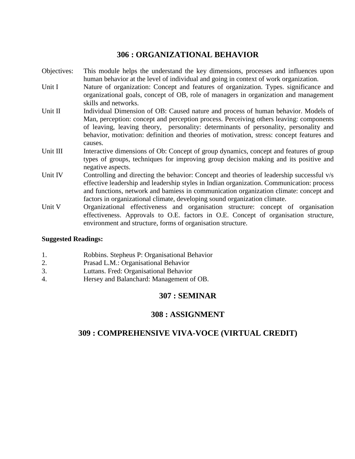## **306 : ORGANIZATIONAL BEHAVIOR**

- Objectives: This module helps the understand the key dimensions, processes and influences upon human behavior at the level of individual and going in context of work organization.
- Unit I Nature of organization: Concept and features of organization. Types. significance and organizational goals, concept of OB, role of managers in organization and management skills and networks.
- Unit II Individual Dimension of OB: Caused nature and process of human behavior. Models of Man, perception: concept and perception process. Perceiving others leaving: components of leaving, leaving theory, personality: determinants of personality, personality and behavior, motivation: definition and theories of motivation, stress: concept features and causes.
- Unit III Interactive dimensions of Ob: Concept of group dynamics, concept and features of group types of groups, techniques for improving group decision making and its positive and negative aspects.
- Unit IV Controlling and directing the behavior: Concept and theories of leadership successful v/s effective leadership and leadership styles in Indian organization. Communication: process and functions, network and bamiess in communication organization climate: concept and factors in organizational climate, developing sound organization climate.
- Unit V Organizational effectiveness and organisation structure: concept of organisation effectiveness. Approvals to O.E. factors in O.E. Concept of organisation structure, environment and structure, forms of organisation structure.

#### **Suggested Readings:**

- 1. Robbins. Stepheus P: Organisational Behavior
- 2. Prasad L.M.: Organisational Behavior
- 3. Luttans. Fred: Organisational Behavior
- 4. Hersey and Balanchard: Management of OB.

## **307 : SEMINAR**

## **308 : ASSIGNMENT**

## **309 : COMPREHENSIVE VIVA-VOCE (VIRTUAL CREDIT)**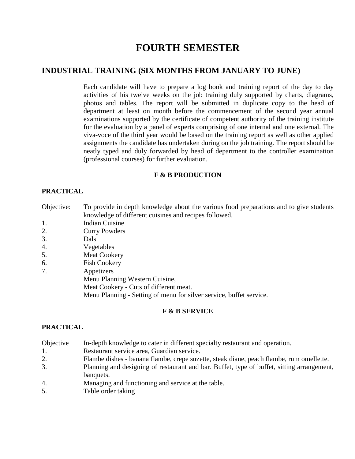## **FOURTH SEMESTER**

## **INDUSTRIAL TRAINING (SIX MONTHS FROM JANUARY TO JUNE)**

Each candidate will have to prepare a log book and training report of the day to day activities of his twelve weeks on the job training duly supported by charts, diagrams, photos and tables. The report will be submitted in duplicate copy to the head of department at least on month before the commencement of the second year annual examinations supported by the certificate of competent authority of the training institute for the evaluation by a panel of experts comprising of one internal and one external. The viva-voce of the third year would be based on the training report as well as other applied assignments the candidate has undertaken during on the job training. The report should be neatly typed and duly forwarded by head of department to the controller examination (professional courses) for further evaluation.

#### **F & B PRODUCTION**

#### **PRACTICAL**

- Objective: To provide in depth knowledge about the various food preparations and to give students knowledge of different cuisines and recipes followed.
- 1. Indian Cuisine
- 2. Curry Powders
- 3. Dals
- 4. Vegetables
- 5. Meat Cookery
- 6. Fish Cookery
- 7. Appetizers
	- Menu Planning Western Cuisine,
		- Meat Cookery Cuts of different meat.

Menu Planning - Setting of menu for silver service, buffet service.

#### **F & B SERVICE**

#### **PRACTICAL**

- Objective In-depth knowledge to cater in different specialty restaurant and operation.
- 1. Restaurant service area, Guardian service.
- 2. Flambe dishes banana flambe, crepe suzette, steak diane, peach flambe, rum omellette.
- 3. Planning and designing of restaurant and bar. Buffet, type of buffet, sitting arrangement, banquets.
- 4. Managing and functioning and service at the table.
- 5. Table order taking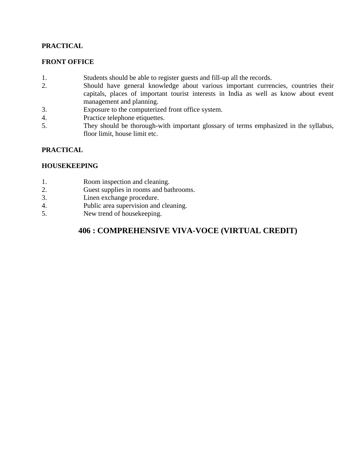#### **PRACTICAL**

#### **FRONT OFFICE**

- 1. Students should be able to register guests and fill-up all the records.
- 2. Should have general knowledge about various important currencies, countries their capitals, places of important tourist interests in India as well as know about event management and planning.
- 3. Exposure to the computerized front office system.
- 4. Practice telephone etiquettes.<br>5 They should be thorough-with
- They should be thorough-with important glossary of terms emphasized in the syllabus, floor limit, house limit etc.

#### **PRACTICAL**

#### **HOUSEKEEPING**

- 1. Room inspection and cleaning.
- 2. Guest supplies in rooms and bathrooms.
- 3. Linen exchange procedure.
- 4. Public area supervision and cleaning.
- 5. New trend of housekeeping.

## **406 : COMPREHENSIVE VIVA-VOCE (VIRTUAL CREDIT)**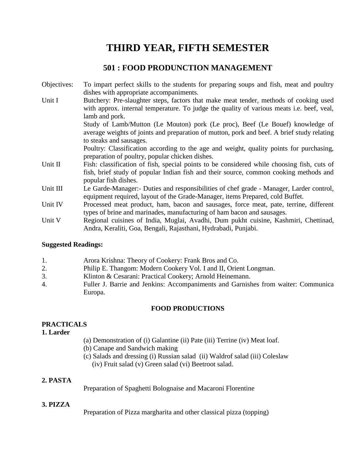## **THIRD YEAR, FIFTH SEMESTER**

## **501 : FOOD PRODUNCTION MANAGEMENT**

Objectives: To impart perfect skills to the students for preparing soups and fish, meat and poultry dishes with appropriate accompaniments. Unit I Butchery: Pre-slaughter steps, factors that make meat tender, methods of cooking used with approx. internal temperature. To judge the quality of various meats i.e. beef, veal, lamb and pork. Study of Lamb/Mutton (Le Mouton) pork (Le proc), Beef (Le Bouef) knowledge of average weights of joints and preparation of mutton, pork and beef. A brief study relating to steaks and sausages. Poultry: Classification according to the age and weight, quality points for purchasing, preparation of poultry, popular chicken dishes. Unit II Fish: classification of fish, special points to be considered while choosing fish, cuts of fish, brief study of popular Indian fish and their source, common cooking methods and popular fish dishes. Unit III Le Garde-Manager:- Duties and responsibilities of chef grade - Manager, Larder control, equipment required, layout of the Grade-Manager, items Prepared, cold Buffet. Unit IV Processed meat product, ham, bacon and sausages, force meat, pate, terrine, different types of brine and marinades, manufacturing of ham bacon and sausages. Unit V Regional cuisines of India, Muglai, Avadhi, Dum pukht cuisine, Kashmiri, Chettinad, Andra, Keraliti, Goa, Bengali, Rajasthani, Hydrabadi, Punjabi.

#### **Suggested Readings:**

Europa.

|    | Arora Krishna: Theory of Cookery: Frank Bros and Co.                              |
|----|-----------------------------------------------------------------------------------|
| 2. | Philip E. Thangom: Modern Cookery Vol. I and II, Orient Longman.                  |
| 3. | Klinton & Cesarani: Practical Cookery; Arnold Heinemann.                          |
| 4. | Fuller J. Barrie and Jenkins: Accompaniments and Garnishes from waiter: Communica |

#### **FOOD PRODUCTIONS**

## **PRACTICALS**

**1. Larder**

- (a) Demonstration of (i) Galantine (ii) Pate (iii) Terrine (iv) Meat loaf.
- (b) Canape and Sandwich making
- (c) Salads and dressing (i) Russian salad (ii) Waldrof salad (iii) Coleslaw
	- (iv) Fruit salad (v) Green salad (vi) Beetroot salad.

## **2. PASTA**

Preparation of Spaghetti Bolognaise and Macaroni Florentine

#### **3. PIZZA**

Preparation of Pizza margharita and other classical pizza (topping)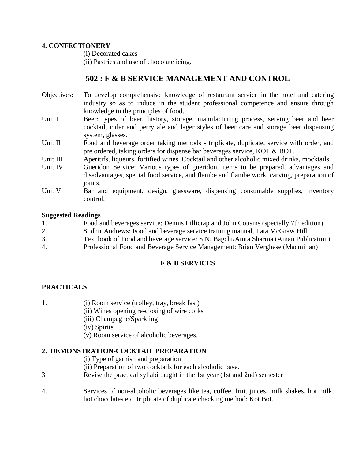#### **4. CONFECTIONERY**

(i) Decorated cakes

(ii) Pastries and use of chocolate icing.

## **502 : F & B SERVICE MANAGEMENT AND CONTROL**

- Objectives: To develop comprehensive knowledge of restaurant service in the hotel and catering industry so as to induce in the student professional competence and ensure through knowledge in the principles of food.
- Unit I Beer: types of beer, history, storage, manufacturing process, serving beer and beer cocktail, cider and perry ale and lager styles of beer care and storage beer dispensing system, glasses.
- Unit II Food and beverage order taking methods triplicate, duplicate, service with order, and pre ordered, taking orders for dispense bar beverages service, KOT & BOT.
- Unit III Aperitifs, liqueurs, fortified wines. Cocktail and other alcoholic mixed drinks, mocktails.
- Unit IV Gueridon Service: Various types of gueridon, items to be prepared, advantages and disadvantages, special food service, and flambe and flambe work, carving, preparation of joints.
- Unit V Bar and equipment, design, glassware, dispensing consumable supplies, inventory control.

#### **Suggested Readings**

| 1. | Food and beverages service: Dennis Lillicrap and John Cousins (specially 7th edition) |
|----|---------------------------------------------------------------------------------------|
| 2. | Sudhir Andrews: Food and beverage service training manual, Tata McGraw Hill.          |
|    | Text book of Food and beverage service: S.N. Bagchi/Anita Sharma (Aman Publication).  |
|    |                                                                                       |

4. Professional Food and Beverage Service Management: Brian Verghese (Macmillan)

## **F & B SERVICES**

## **PRACTICALS**

- 1. (i) Room service (trolley, tray, break fast)
	- (ii) Wines opening re-closing of wire corks
		- (iii) Champagne/Sparkling
		- (iv) Spirits
		- (v) Room service of alcoholic beverages.

## **2. DEMONSTRATION-COCKTAIL PREPARATION**

- (i) Type of garnish and preparation
- (ii) Preparation of two cocktails for each alcoholic base.
- 3 Revise the practical syllabi taught in the 1st year (1st and 2nd) semester
- 4. Services of non-alcoholic beverages like tea, coffee, fruit juices, milk shakes, hot milk, hot chocolates etc. triplicate of duplicate checking method: Kot Bot.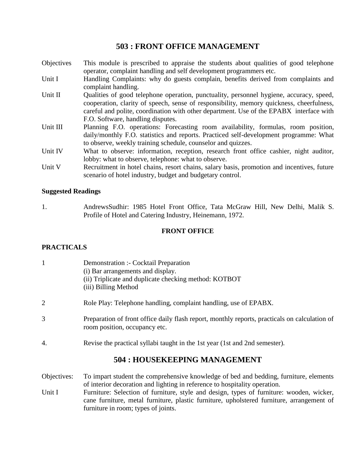## **503 : FRONT OFFICE MANAGEMENT**

- Objectives This module is prescribed to appraise the students about qualities of good telephone operator, complaint handling and self development programmers etc.
- Unit I Handling Complaints: why do guests complain, benefits derived from complaints and complaint handling.
- Unit II Qualities of good telephone operation, punctuality, personnel hygiene, accuracy, speed, cooperation, clarity of speech, sense of responsibility, memory quickness, cheerfulness, careful and polite, coordination with other department. Use of the EPABX interface with F.O. Software, handling disputes.
- Unit III Planning F.O. operations: Forecasting room availability, formulas, room position, daily/monthly F.O. statistics and reports. Practiced self-development programme: What to observe, weekly training schedule, counselor and quizzes.
- Unit IV What to observe: information, reception, research front office cashier, night auditor, lobby: what to observe, telephone: what to observe.
- Unit V Recruitment in hotel chains, resort chains, salary basis, promotion and incentives, future scenario of hotel industry, budget and budgetary control.

#### **Suggested Readings**

1. AndrewsSudhir: 1985 Hotel Front Office, Tata McGraw Hill, New Delhi, Malik S. Profile of Hotel and Catering Industry, Heinemann, 1972.

#### **FRONT OFFICE**

#### **PRACTICALS**

| 1                        | Demonstration :- Cocktail Preparation<br>(i) Bar arrangements and display.<br>(ii) Triplicate and duplicate checking method: KOTBOT<br>(iii) Billing Method         |
|--------------------------|---------------------------------------------------------------------------------------------------------------------------------------------------------------------|
| $\overline{2}$           | Role Play: Telephone handling, complaint handling, use of EPABX.                                                                                                    |
| 3                        | Preparation of front office daily flash report, monthly reports, practicals on calculation of<br>room position, occupancy etc.                                      |
| 4.                       | Revise the practical syllabi taught in the 1st year (1st and 2nd semester).                                                                                         |
|                          | 504 : HOUSEKEEPING MANAGEMENT                                                                                                                                       |
| Objectives:              | To impart student the comprehensive knowledge of bed and bedding, furniture, elements<br>of interior decoration and lighting in reference to hospitality operation. |
| $\overline{\text{Unit}}$ | Eurniture: Coloction of furniture style and degian types of furniture: wooden wicker                                                                                |

Unit I Furniture: Selection of furniture, style and design, types of furniture: wooden, wicker, cane furniture, metal furniture, plastic furniture, upholstered furniture, arrangement of furniture in room; types of joints.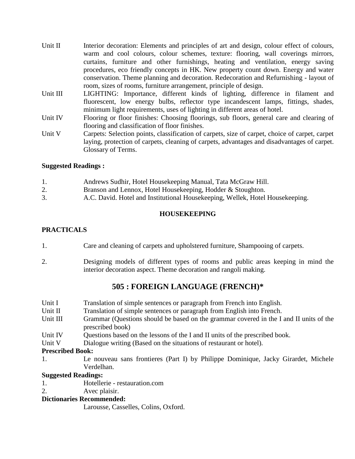- Unit II Interior decoration: Elements and principles of art and design, colour effect of colours, warm and cool colours, colour schemes, texture: flooring, wall coverings mirrors, curtains, furniture and other furnishings, heating and ventilation, energy saving procedures, eco friendly concepts in HK. New property count down. Energy and water conservation. Theme planning and decoration. Redecoration and Refurnishing - layout of room, sizes of rooms, furniture arrangement, principle of design.
- Unit III LIGHTING: Importance, different kinds of lighting, difference in filament and fluorescent, low energy bulbs, reflector type incandescent lamps, fittings, shades, minimum light requirements, uses of lighting in different areas of hotel.
- Unit IV Flooring or floor finishes: Choosing floorings, sub floors, general care and clearing of flooring and classification of floor finishes.
- Unit V Carpets: Selection points, classification of carpets, size of carpet, choice of carpet, carpet laying, protection of carpets, cleaning of carpets, advantages and disadvantages of carpet. Glossary of Terms.

#### **Suggested Readings :**

| 1. | Andrews Sudhir, Hotel Housekeeping Manual, Tata McGraw Hill.                  |
|----|-------------------------------------------------------------------------------|
|    | Branson and Lennox, Hotel Housekeeping, Hodder & Stoughton.                   |
| 3. | A.C. David. Hotel and Institutional Housekeeping, Wellek, Hotel Housekeeping. |

#### **HOUSEKEEPING**

#### **PRACTICALS**

- 1. Care and cleaning of carpets and upholstered furniture, Shampooing of carpets.
- 2. Designing models of different types of rooms and public areas keeping in mind the interior decoration aspect. Theme decoration and rangoli making.

## **505 : FOREIGN LANGUAGE (FRENCH)\***

- Unit I Translation of simple sentences or paragraph from French into English.
- Unit II Translation of simple sentences or paragraph from English into French.
- Unit III Grammar (Questions should be based on the grammar covered in the I and II units of the prescribed book)
- Unit IV Questions based on the lessons of the I and II units of the prescribed book.
- Unit V Dialogue writing (Based on the situations of restaurant or hotel).

#### **Prescribed Book:**

1. Le nouveau sans frontieres (Part I) by Philippe Dominique, Jacky Girardet, Michele Verdelhan.

#### **Suggested Readings:**

- 1. Hotellerie restauration.com
- 2. Avec plaisir.

#### **Dictionaries Recommended:**

Larousse, Casselles, Colins, Oxford.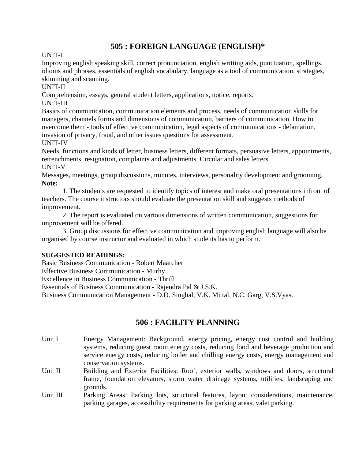## **505 : FOREIGN LANGUAGE (ENGLISH)\***

UNIT-I

Improving english speaking skill, correct pronunciation, english writting aids, punctuation, spellings, idioms and phrases, essentials of english vocabulary, language as a tool of communication, strategies, skimming and scanning.

UNIT-II

Comprehension, essays, general student letters, applications, notice, reports.

UNIT-III

Basics of communication, communication elements and process, needs of communication skills for managers, channels forms and dimensions of communication, barriers of communication. How to overcome them - tools of effective communication, legal aspects of communications - defamation, invasion of privacy, fraud, and other issues questions for assessment.

UNIT-IV

Needs, functions and kinds of letter, business letters, different formats, persuasive letters, appointments, retrenchments, resignation, complaints and adjustments. Circular and sales letters.

UNIT-V

Messages, meetings, group discussions, minutes, interviews, personality development and grooming. **Note:**

1. The students are requested to identify topics of interest and make oral presentations infront of teachers. The course instructors should evaluate the presentation skill and suggests methods of improvement.

2. The report is evaluated on various dimensions of written communication, suggestions for improvement will be offered.

3. Group discussions for effective communication and improving english language will also be organised by course instructor and evaluated in which students has to perform.

#### **SUGGESTED READINGS:**

Basic Business Communication - Robert Maarcher Effective Business Communication - Murhy Excellence in Business Communication - Thrill Essentials of Business Communication - Rajendra Pal & J.S.K. Business Communication Management - D.D. Singhal, V.K. Mittal, N.C. Garg, V.S.Vyas.

## **506 : FACILITY PLANNING**

- Unit I Energy Management: Background, energy pricing, energy cost control and building systems, reducing guest room energy costs, reducing food and beverage production and service energy costs, reducing boiler and chilling energy costs, energy management and conservation systems.
- Unit II Building and Exterior Facilities: Roof, exterior walls, windows and doors, structural frame, foundation elevators, storm water drainage systems, utilities, landscaping and grounds.
- Unit III Parking Areas: Parking lots, structural features, layout considerations, maintenance, parking garages, accessibility requirements for parking areas, valet parking.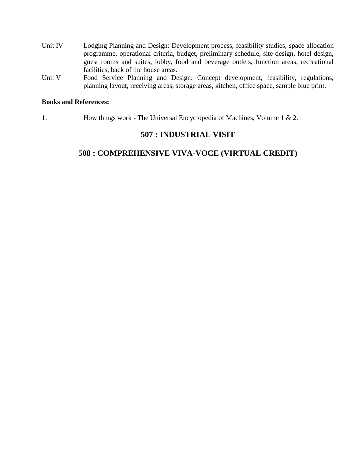- Unit IV Lodging Planning and Design: Development process, feasibility studies, space allocation programme, operational criteria, budget, preliminary schedule, site design, hotel design, guest rooms and suites, lobby, food and beverage outlets, function areas, recreational facilities, back of the house areas.
- Unit V Food Service Planning and Design: Concept development, feasibility, regulations, planning layout, receiving areas, storage areas, kitchen, office space, sample blue print.

#### **Books and References:**

1. How things work - The Universal Encyclopedia of Machines, Volume 1 & 2.

## **507 : INDUSTRIAL VISIT**

## **508 : COMPREHENSIVE VIVA-VOCE (VIRTUAL CREDIT)**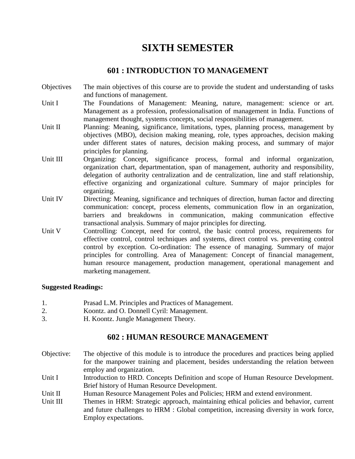## **SIXTH SEMESTER**

## **601 : INTRODUCTION TO MANAGEMENT**

- Objectives The main objectives of this course are to provide the student and understanding of tasks and functions of management.
- Unit I The Foundations of Management: Meaning, nature, management: science or art. Management as a profession, professionalisation of management in India. Functions of management thought, systems concepts, social responsibilities of management.
- Unit II Planning: Meaning, significance, limitations, types, planning process, management by objectives (MBO), decision making meaning, role, types approaches, decision making under different states of natures, decision making process, and summary of major principles for planning.
- Unit III Organizing: Concept, significance process, formal and informal organization, organization chart, departmentation, span of management, authority and responsibility, delegation of authority centralization and de centralization, line and staff relationship, effective organizing and organizational culture. Summary of major principles for organizing.
- Unit IV Directing: Meaning, significance and techniques of direction, human factor and directing communication: concept, process elements, communication flow in an organization, barriers and breakdowns in communication, making communication effective transactional analysis. Summary of major principles for directing.
- Unit V Controlling: Concept, need for control, the basic control process, requirements for effective control, control techniques and systems, direct control vs. preventing control control by exception. Co-ordination: The essence of managing. Summary of major principles for controlling. Area of Management: Concept of financial management, human resource management, production management, operational management and marketing management.

#### **Suggested Readings:**

- 1. Prasad L.M. Principles and Practices of Management.
- 2. Koontz. and O. Donnell Cyril: Management.
- 3. H. Koontz. Jungle Management Theory.

## **602 : HUMAN RESOURCE MANAGEMENT**

- Objective: The objective of this module is to introduce the procedures and practices being applied for the manpower training and placement, besides understanding the relation between employ and organization.
- Unit I Introduction to HRD. Concepts Definition and scope of Human Resource Development. Brief history of Human Resource Development.
- Unit II Human Resource Management Poles and Policies; HRM and extend environment.
- Unit III Themes in HRM: Strategic approach, maintaining ethical policies and behavior, current and future challenges to HRM : Global competition, increasing diversity in work force, Employ expectations.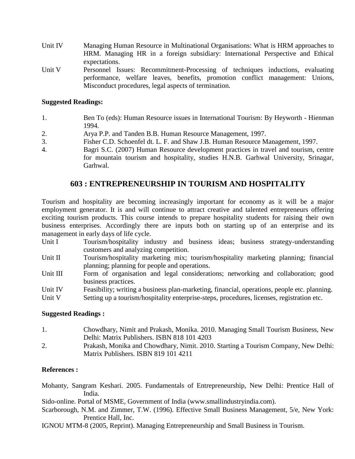- Unit IV Managing Human Resource in Multinational Organisations: What is HRM approaches to HRM. Managing HR in a foreign subsidiary: International Perspective and Ethical expectations.
- Unit V Personnel Issues: Recommitment-Processing of techniques inductions, evaluating performance, welfare leaves, benefits, promotion conflict management: Unions, Misconduct procedures, legal aspects of termination.

#### **Suggested Readings:**

- 1. Ben To (eds): Human Resource issues in International Tourism: By Heyworth Hienman 1994.
- 2. Arya P.P. and Tanden B.B. Human Resource Management, 1997.
- 3. Fisher C.D. Schoenfel dt. L. F. and Shaw J.B. Human Resource Management, 1997.
- 4. Bagri S.C. (2007) Human Resource development practices in travel and tourism, centre for mountain tourism and hospitality, studies H.N.B. Garhwal University, Srinagar, Garhwal.

## **603 : ENTREPRENEURSHIP IN TOURISM AND HOSPITALITY**

Tourism and hospitality are becoming increasingly important for economy as it will be a major employment generator. It is and will continue to attract creative and talented entrepreneurs offering exciting tourism products. This course intends to prepare hospitality students for raising their own business enterprises. Accordingly there are inputs both on starting up of an enterprise and its management in early days of life cycle.

- Unit I Tourism/hospitality industry and business ideas; business strategy-understanding customers and analyzing competition.
- Unit II Tourism/hospitality marketing mix; tourism/hospitality marketing planning; financial planning; planning for people and operations.
- Unit III Form of organisation and legal considerations; networking and collaboration; good business practices.
- Unit IV Feasibility; writing a business plan-marketing, financial, operations, people etc. planning.
- Unit V Setting up a tourism/hospitality enterprise-steps, procedures, licenses, registration etc.

#### **Suggested Readings :**

- 1. Chowdhary, Nimit and Prakash, Monika. 2010. Managing Small Tourism Business, New Delhi: Matrix Publishers. ISBN 818 101 4203
- 2. Prakash, Monika and Chowdhary, Nimit. 2010. Starting a Tourism Company, New Delhi: Matrix Publishers. ISBN 819 101 4211

#### **References :**

Mohanty, Sangram Keshari. 2005. Fundamentals of Entrepreneurship, New Delhi: Prentice Hall of India.

Sido-online. Portal of MSME, Government of India (www.smallindustryindia.com).

Scarborough, N.M. and Zimmer, T.W. (1996). Effective Small Business Management, 5/e, New York: Prentice Hall, Inc.

IGNOU MTM-8 (2005, Reprint). Managing Entrepreneurship and Small Business in Tourism.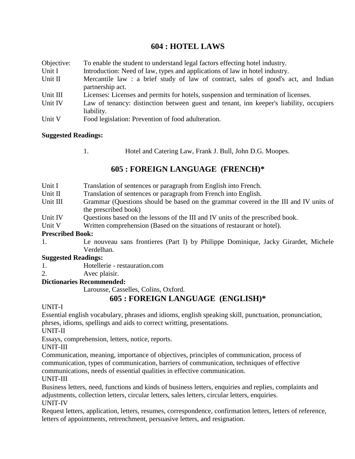## **604 : HOTEL LAWS**

| Objective: | To enable the student to understand legal factors effecting hotel industry.                           |
|------------|-------------------------------------------------------------------------------------------------------|
| Unit I     | Introduction: Need of law, types and applications of law in hotel industry.                           |
| Unit II    | Mercantile law: a brief study of law of contract, sales of good's act, and Indian<br>partnership act. |
| Unit III   | Licenses: Licenses and permits for hotels, suspension and termination of licenses.                    |
| Unit IV    | Law of tenancy: distinction between guest and tenant, inn keeper's liability, occupiers<br>liability. |
| Unit V     | Food legislation: Prevention of food adulteration.                                                    |

#### **Suggested Readings:**

1. Hotel and Catering Law, Frank J. Bull, John D.G. Moopes.

## **605 : FOREIGN LANGUAGE (FRENCH)\***

| Unit I                     | Translation of sentences or paragraph from English into French.                      |
|----------------------------|--------------------------------------------------------------------------------------|
| Unit II                    | Translation of sentences or paragraph from French into English.                      |
| Unit III                   | Grammar (Questions should be based on the grammar covered in the III and IV units of |
|                            | the prescribed book)                                                                 |
| Unit IV                    | Questions based on the lessons of the III and IV units of the prescribed book.       |
| Unit V                     | Written comprehension (Based on the situations of restaurant or hotel).              |
| <b>Prescribed Book:</b>    |                                                                                      |
| 1.                         | Le nouveau sans frontieres (Part I) by Philippe Dominique, Jacky Girardet, Michele   |
|                            | Verdelhan.                                                                           |
| <b>Suggested Readings:</b> |                                                                                      |
| 1.                         | Hotellerie - restauration.com                                                        |
| 2.                         | Avec plaisir.                                                                        |
|                            | Distionaries Decemmended:                                                            |

#### **Dictionaries Recommended:**

Larousse, Casselles, Colins, Oxford.

## **605 : FOREIGN LANGUAGE (ENGLISH)\***

#### UNIT-I

Essential english vocabulary, phrases and idioms, english speaking skill, punctuation, pronunciation, phrses, idioms, spellings and aids to correct writting, presentations.

UNIT-II

Essays, comprehension, letters, notice, reports.

UNIT-III

Communication, meaning, importance of objectives, principles of communication, process of communication, types of communication, barriers of communication, techniques of effective communications, needs of essential qualities in effective communication.

UNIT-III

Business letters, need, functions and kinds of business letters, enquiries and replies, complaints and adjustments, collection letters, circular letters, sales letters, circular letters, enquiries. UNIT-IV

Request letters, application, letters, resumes, correspondence, confirmation letters, letters of reference, letters of appointments, retrenchment, persuasive letters, and resignation.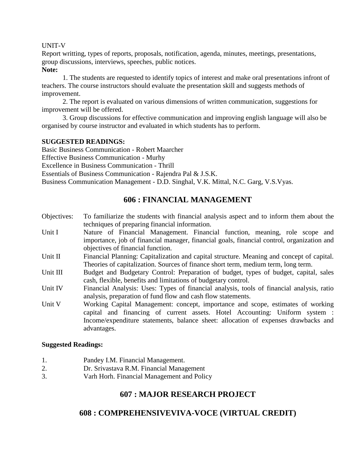#### UNIT-V

Report writting, types of reports, proposals, notification, agenda, minutes, meetings, presentations, group discussions, interviews, speeches, public notices.

#### **Note:**

1. The students are requested to identify topics of interest and make oral presentations infront of teachers. The course instructors should evaluate the presentation skill and suggests methods of improvement.

2. The report is evaluated on various dimensions of written communication, suggestions for improvement will be offered.

3. Group discussions for effective communication and improving english language will also be organised by course instructor and evaluated in which students has to perform.

#### **SUGGESTED READINGS:**

Basic Business Communication - Robert Maarcher Effective Business Communication - Murhy Excellence in Business Communication - Thrill Essentials of Business Communication - Rajendra Pal & J.S.K. Business Communication Management - D.D. Singhal, V.K. Mittal, N.C. Garg, V.S.Vyas.

## **606 : FINANCIAL MANAGEMENT**

- Objectives: To familiarize the students with financial analysis aspect and to inform them about the techniques of preparing financial information.
- Unit I Nature of Financial Management. Financial function, meaning, role scope and importance, job of financial manager, financial goals, financial control, organization and objectives of financial function.
- Unit II Financial Planning: Capitalization and capital structure. Meaning and concept of capital. Theories of capitalization. Sources of finance short term, medium term, long term.
- Unit III Budget and Budgetary Control: Preparation of budget, types of budget, capital, sales cash, flexible, benefits and limitations of budgetary control.
- Unit IV Financial Analysis: Uses: Types of financial analysis, tools of financial analysis, ratio analysis, preparation of fund flow and cash flow statements.
- Unit V Working Capital Management: concept, importance and scope, estimates of working capital and financing of current assets. Hotel Accounting: Uniform system : Income/expenditure statements, balance sheet: allocation of expenses drawbacks and advantages.

#### **Suggested Readings:**

- 1. Pandey I.M. Financial Management.
- 2. Dr. Srivastava R.M. Financial Management
- 3. Varh Horh. Financial Management and Policy

## **607 : MAJOR RESEARCH PROJECT**

## **608 : COMPREHENSIVEVIVA-VOCE (VIRTUAL CREDIT)**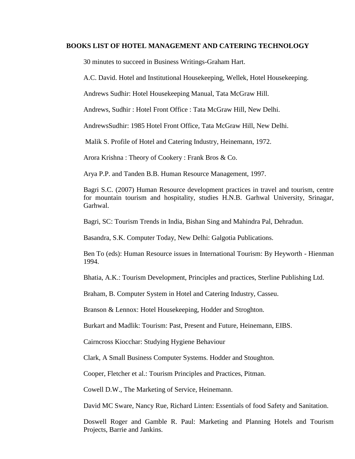#### **BOOKS LIST OF HOTEL MANAGEMENT AND CATERING TECHNOLOGY**

30 minutes to succeed in Business Writings-Graham Hart.

A.C. David. Hotel and Institutional Housekeeping, Wellek, Hotel Housekeeping.

Andrews Sudhir: Hotel Housekeeping Manual, Tata McGraw Hill.

Andrews, Sudhir : Hotel Front Office : Tata McGraw Hill, New Delhi.

AndrewsSudhir: 1985 Hotel Front Office, Tata McGraw Hill, New Delhi.

Malik S. Profile of Hotel and Catering Industry, Heinemann, 1972.

Arora Krishna : Theory of Cookery : Frank Bros & Co.

Arya P.P. and Tanden B.B. Human Resource Management, 1997.

Bagri S.C. (2007) Human Resource development practices in travel and tourism, centre for mountain tourism and hospitality, studies H.N.B. Garhwal University, Srinagar, Garhwal.

Bagri, SC: Tourism Trends in India, Bishan Sing and Mahindra Pal, Dehradun.

Basandra, S.K. Computer Today, New Delhi: Galgotia Publications.

Ben To (eds): Human Resource issues in International Tourism: By Heyworth - Hienman 1994.

Bhatia, A.K.: Tourism Development, Principles and practices, Sterline Publishing Ltd.

Braham, B. Computer System in Hotel and Catering Industry, Casseu.

Branson & Lennox: Hotel Housekeeping, Hodder and Stroghton.

Burkart and Madlik: Tourism: Past, Present and Future, Heinemann, EIBS.

Cairncross Kiocchar: Studying Hygiene Behaviour

Clark, A Small Business Computer Systems. Hodder and Stoughton.

Cooper, Fletcher et al.: Tourism Principles and Practices, Pitman.

Cowell D.W., The Marketing of Service, Heinemann.

David MC Sware, Nancy Rue, Richard Linten: Essentials of food Safety and Sanitation.

Doswell Roger and Gamble R. Paul: Marketing and Planning Hotels and Tourism Projects, Barrie and Jankins.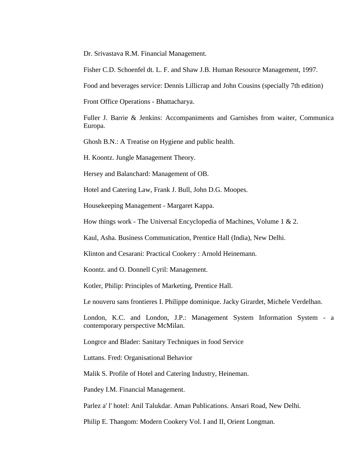Dr. Srivastava R.M. Financial Management.

Fisher C.D. Schoenfel dt. L. F. and Shaw J.B. Human Resource Management, 1997.

Food and beverages service: Dennis Lillicrap and John Cousins (specially 7th edition)

Front Office Operations - Bhattacharya.

Fuller J. Barrie & Jenkins: Accompaniments and Garnishes from waiter, Communica Europa.

Ghosh B.N.: A Treatise on Hygiene and public health.

H. Koontz. Jungle Management Theory.

Hersey and Balanchard: Management of OB.

Hotel and Catering Law, Frank J. Bull, John D.G. Moopes.

Housekeeping Management - Margaret Kappa.

How things work - The Universal Encyclopedia of Machines, Volume 1 & 2.

Kaul, Asha. Business Communication, Prentice Hall (India), New Delhi.

Klinton and Cesarani: Practical Cookery : Arnold Heinemann.

Koontz. and O. Donnell Cyril: Management.

Kotler, Philip: Principles of Marketing, Prentice Hall.

Le nouveru sans frontieres I. Philippe dominique. Jacky Girardet, Michele Verdelhan.

London, K.C. and London, J.P.: Management System Information System - a contemporary perspective McMilan.

Longrce and Blader: Sanitary Techniques in food Service

Luttans. Fred: Organisational Behavior

Malik S. Profile of Hotel and Catering Industry, Heineman.

Pandey I.M. Financial Management.

Parlez a' l' hotel: Anil Talukdar. Aman Publications. Ansari Road, New Delhi.

Philip E. Thangom: Modern Cookery Vol. I and II, Orient Longman.